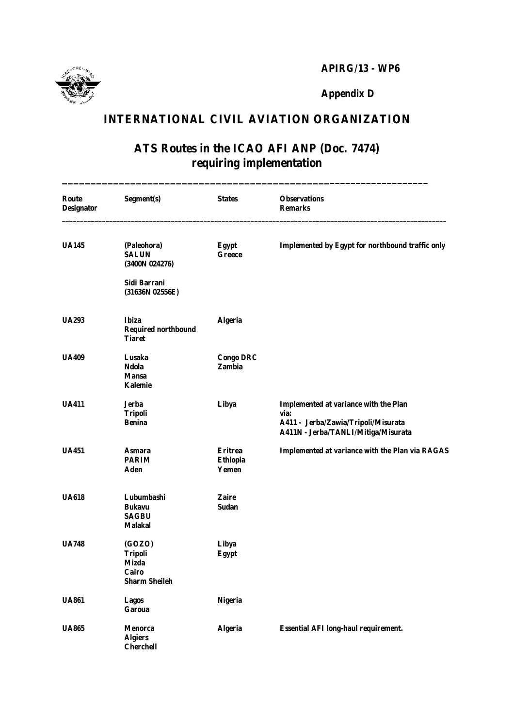**APIRG/13 - WP6**



**Appendix D**

## **INTERNATIONAL CIVIL AVIATION ORGANIZATION**

## **ATS Routes in the ICAO AFI ANP (Doc. 7474) requiring implementation**

**\_\_\_\_\_\_\_\_\_\_\_\_\_\_\_\_\_\_\_\_\_\_\_\_\_\_\_\_\_\_\_\_\_\_\_\_\_\_\_\_\_\_\_\_\_\_\_\_\_\_\_\_\_\_\_\_\_\_\_\_\_\_\_\_\_\_**

| <b>Route</b><br><b>Designator</b> | Segment(s)                                                                       | <b>States</b>                              | <b>Observations</b><br><b>Remarks</b>                                                                                              |
|-----------------------------------|----------------------------------------------------------------------------------|--------------------------------------------|------------------------------------------------------------------------------------------------------------------------------------|
| <b>UA145</b>                      | (Paleohora)<br><b>SALUN</b><br>(3400N 024276)                                    | <b>Egypt</b><br><b>Greece</b>              | Implemented by Egypt for northbound traffic only                                                                                   |
|                                   | Sidi Barrani<br>(31636N 02556E)                                                  |                                            |                                                                                                                                    |
| <b>UA293</b>                      | <b>Ibiza</b><br><b>Required northbound</b><br><b>Tiaret</b>                      | <b>Algeria</b>                             |                                                                                                                                    |
| <b>UA409</b>                      | Lusaka<br><b>Ndola</b><br><b>Mansa</b><br>Kalemie                                | <b>Congo DRC</b><br><b>Zambia</b>          |                                                                                                                                    |
| <b>UA411</b>                      | <b>Jerba</b><br><b>Tripoli</b><br><b>Benina</b>                                  | Libya                                      | <b>Implemented at variance with the Plan</b><br>via:<br>A411 - Jerba/Zawia/Tripoli/Misurata<br>A411N - Jerba/TANLI/Mitiga/Misurata |
| <b>UA451</b>                      | Asmara<br><b>PARIM</b><br><b>Aden</b>                                            | <b>Eritrea</b><br><b>Ethiopia</b><br>Yemen | <b>Implemented at variance with the Plan via RAGAS</b>                                                                             |
| <b>UA618</b>                      | Lubumbashi<br><b>Bukavu</b><br><b>SAGBU</b><br><b>Malakal</b>                    | <b>Zaire</b><br><b>Sudan</b>               |                                                                                                                                    |
| <b>UA748</b>                      | <b>(GOZO)</b><br><b>Tripoli</b><br><b>Mizda</b><br>Cairo<br><b>Sharm Sheileh</b> | Libya<br><b>Egypt</b>                      |                                                                                                                                    |
| <b>UA861</b>                      | <b>Lagos</b><br><b>Garoua</b>                                                    | <b>Nigeria</b>                             |                                                                                                                                    |
| <b>UA865</b>                      | <b>Menorca</b><br><b>Algiers</b><br><b>Cherchell</b>                             | <b>Algeria</b>                             | <b>Essential AFI long-haul requirement.</b>                                                                                        |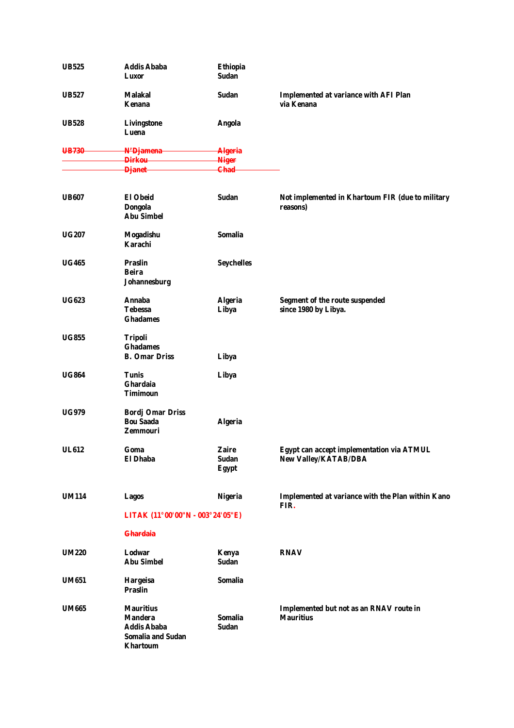| <b>UB525</b> | <b>Addis Ababa</b><br>Luxor                                                                             | <b>Ethiopia</b><br><b>Sudan</b>              |                                                                          |
|--------------|---------------------------------------------------------------------------------------------------------|----------------------------------------------|--------------------------------------------------------------------------|
| <b>UB527</b> | Malakal<br>Kenana                                                                                       | <b>Sudan</b>                                 | <b>Implemented at variance with AFI Plan</b><br>via Kenana               |
| <b>UB528</b> | <b>Livingstone</b><br>Luena                                                                             | <b>Angola</b>                                |                                                                          |
| UB730        | N'Djamena                                                                                               | <b>Algeria</b>                               |                                                                          |
|              | <del>Dirkou -</del><br><b>Djanet</b>                                                                    | <b>Niger</b><br><b>Chad-</b>                 |                                                                          |
| <b>UB607</b> | <b>El Obeid</b><br><b>Dongola</b><br><b>Abu Simbel</b>                                                  | <b>Sudan</b>                                 | Not implemented in Khartoum FIR (due to military<br>reasons)             |
| <b>UG207</b> | <b>Mogadishu</b><br>Karachi                                                                             | <b>Somalia</b>                               |                                                                          |
| <b>UG465</b> | <b>Praslin</b><br><b>Beira</b><br>Johannesburg                                                          | <b>Seychelles</b>                            |                                                                          |
| <b>UG623</b> | <b>Annaba</b><br><b>Tebessa</b><br><b>Ghadames</b>                                                      | <b>Algeria</b><br>Libya                      | <b>Segment of the route suspended</b><br>since 1980 by Libya.            |
| <b>UG855</b> | <b>Tripoli</b><br><b>Ghadames</b><br><b>B. Omar Driss</b>                                               | Libya                                        |                                                                          |
| <b>UG864</b> | <b>Tunis</b><br>Ghardaia<br><b>Timimoun</b>                                                             | Libya                                        |                                                                          |
| <b>UG979</b> | <b>Bordj Omar Driss</b><br><b>Bou Saada</b><br><b>Zemmouri</b>                                          | <b>Algeria</b>                               |                                                                          |
| <b>UL612</b> | Goma<br>El Dhaba                                                                                        | <b>Zaire</b><br><b>Sudan</b><br><b>Egypt</b> | Egypt can accept implementation via ATMUL<br><b>New Valley/KATAB/DBA</b> |
| <b>UM114</b> | <b>Lagos</b>                                                                                            | <b>Nigeria</b>                               | Implemented at variance with the Plan within Kano<br>FIR.                |
|              | LITAK (11°00'00"N - 003°24'05"E)                                                                        |                                              |                                                                          |
|              | <b>Ghardaia</b>                                                                                         |                                              |                                                                          |
| <b>UM220</b> | Lodwar<br><b>Abu Simbel</b>                                                                             | Kenya<br><b>Sudan</b>                        | <b>RNAV</b>                                                              |
| <b>UM651</b> | <b>Hargeisa</b><br><b>Praslin</b>                                                                       | <b>Somalia</b>                               |                                                                          |
| <b>UM665</b> | <b>Mauritius</b><br><b>Mandera</b><br><b>Addis Ababa</b><br><b>Somalia and Sudan</b><br><b>Khartoum</b> | <b>Somalia</b><br><b>Sudan</b>               | Implemented but not as an RNAV route in<br><b>Mauritius</b>              |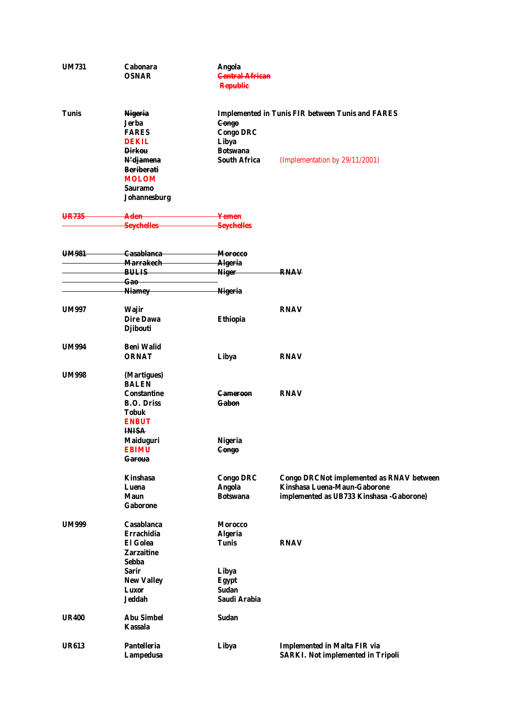| <b>UM731</b> | <b>Cabonara</b><br><b>OSNAR</b>                                                           | <b>Angola</b><br><b>Central African</b><br><b>Republic</b>   |                                                                                                                              |
|--------------|-------------------------------------------------------------------------------------------|--------------------------------------------------------------|------------------------------------------------------------------------------------------------------------------------------|
| <b>Tunis</b> | <b>Nigeria</b><br>Jerba<br><b>FARES</b><br><b>DEKIL</b><br><b>Dirkou</b>                  | <b>Congo</b><br><b>Congo DRC</b><br>Libya<br><b>Botswana</b> | <b>Implemented in Tunis FIR between Tunis and FARES</b>                                                                      |
|              | N' <del>djamena</del><br><b>Beriberati</b><br><b>MOLOM</b><br>Sauramo<br>Johannesburg     | <b>South Africa</b>                                          | (Implementation by 29/11/2001)                                                                                               |
| UR735        | Aden<br><b>Seychelles</b>                                                                 | <del>Yemen</del><br><b>Seychelles</b>                        |                                                                                                                              |
| UM981        | <del>Casablanca-</del><br><b>Marrakech</b><br><del>BULIS</del>                            | <del>Morocco</del><br><b>Algeria</b><br><b>Niger</b>         | RNAV                                                                                                                         |
|              | <del>Gao</del><br><b>Niamey</b>                                                           | <b>Nigeria</b>                                               |                                                                                                                              |
| <b>UM997</b> | <b>Wajir</b><br><b>Dire Dawa</b><br><b>Djibouti</b>                                       | <b>Ethiopia</b>                                              | <b>RNAV</b>                                                                                                                  |
| <b>UM994</b> | Beni Walid<br><b>ORNAT</b>                                                                | Libya                                                        | <b>RNAV</b>                                                                                                                  |
| <b>UM998</b> | (Martigues)<br><b>BALEN</b>                                                               |                                                              |                                                                                                                              |
|              | Constantine<br><b>B.O. Driss</b><br><b>Tobuk</b><br><b>ENBUT</b>                          | <del>Cameroon</del><br><del>Gabon</del>                      | <b>RNAV</b>                                                                                                                  |
|              | <b>INISA</b><br><b>Maiduguri</b><br>EBIMU<br><del>Garoua</del>                            | <b>Nigeria</b><br><b>Congo</b>                               |                                                                                                                              |
|              | <b>Kinshasa</b><br>Luena<br>Maun<br><b>Gaborone</b>                                       | <b>Congo DRC</b><br><b>Angola</b><br><b>Botswana</b>         | <b>Congo DRCNot implemented as RNAV between</b><br>Kinshasa Luena-Maun-Gaborone<br>implemented as UB733 Kinshasa - Gaborone) |
| <b>UM999</b> | Casablanca<br><b>Errachidia</b><br><b>El Golea</b>                                        | <b>Morocco</b><br><b>Algeria</b><br><b>Tunis</b>             | <b>RNAV</b>                                                                                                                  |
|              | <b>Zarzaitine</b><br>Sebba<br><b>Sarir</b><br><b>New Valley</b><br><b>Luxor</b><br>Jeddah | Libya<br><b>Egypt</b><br><b>Sudan</b><br>Saudi Arabia        |                                                                                                                              |
| <b>UR400</b> | <b>Abu Simbel</b><br><b>Kassala</b>                                                       | <b>Sudan</b>                                                 |                                                                                                                              |
| <b>UR613</b> | <b>Pantelleria</b><br><b>Lampedusa</b>                                                    | Libya                                                        | <b>Implemented in Malta FIR via</b><br><b>SARKI.</b> Not implemented in Tripoli                                              |